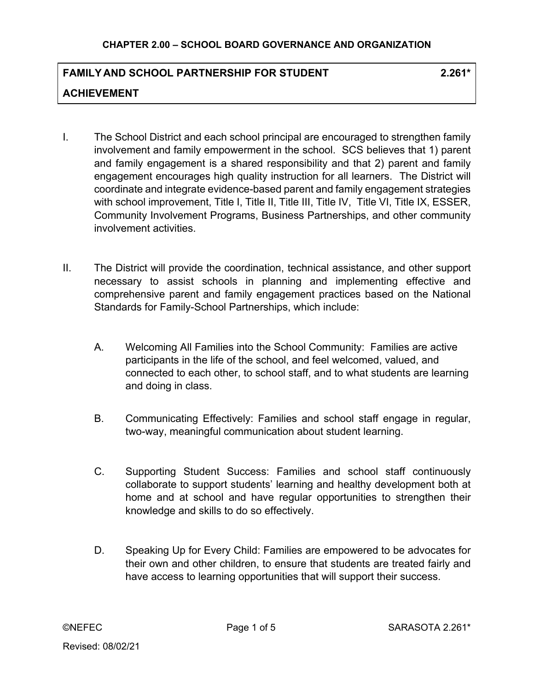# **FAMILY AND SCHOOL PARTNERSHIP FOR STUDENT 2.261\* ACHIEVEMENT**

- I. The School District and each school principal are encouraged to strengthen family involvement and family empowerment in the school. SCS believes that 1) parent and family engagement is a shared responsibility and that 2) parent and family engagement encourages high quality instruction for all learners. The District will coordinate and integrate evidence-based parent and family engagement strategies with school improvement, Title I, Title II, Title III, Title IV, Title VI, Title IX, ESSER, Community Involvement Programs, Business Partnerships, and other community involvement activities.
- II. The District will provide the coordination, technical assistance, and other support necessary to assist schools in planning and implementing effective and comprehensive parent and family engagement practices based on the National Standards for Family-School Partnerships, which include:
	- A. Welcoming All Families into the School Community: Families are active participants in the life of the school, and feel welcomed, valued, and connected to each other, to school staff, and to what students are learning and doing in class.
	- B. Communicating Effectively: Families and school staff engage in regular, two-way, meaningful communication about student learning.
	- C. Supporting Student Success: Families and school staff continuously collaborate to support students' learning and healthy development both at home and at school and have regular opportunities to strengthen their knowledge and skills to do so effectively.
	- D. Speaking Up for Every Child: Families are empowered to be advocates for their own and other children, to ensure that students are treated fairly and have access to learning opportunities that will support their success.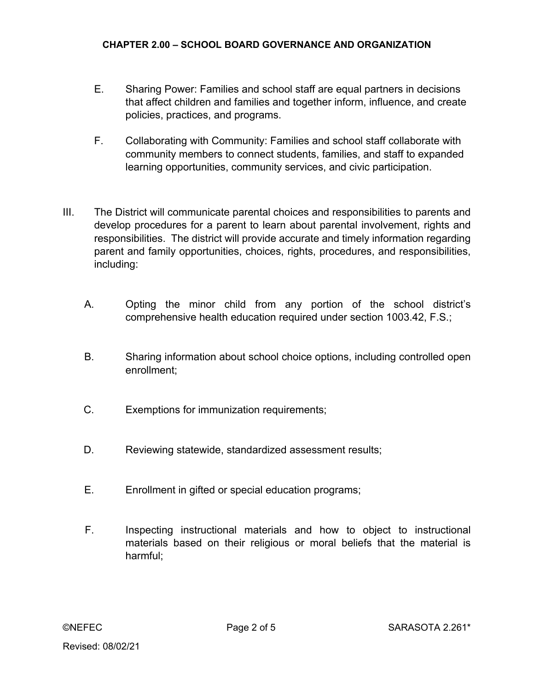- E. Sharing Power: Families and school staff are equal partners in decisions that affect children and families and together inform, influence, and create policies, practices, and programs.
- F. Collaborating with Community: Families and school staff collaborate with community members to connect students, families, and staff to expanded learning opportunities, community services, and civic participation.
- III. The District will communicate parental choices and responsibilities to parents and develop procedures for a parent to learn about parental involvement, rights and responsibilities. The district will provide accurate and timely information regarding parent and family opportunities, choices, rights, procedures, and responsibilities, including:
	- A. Opting the minor child from any portion of the school district's comprehensive health education required under section 1003.42, F.S.;
	- B. Sharing information about school choice options, including controlled open enrollment;
	- C. Exemptions for immunization requirements;
	- D. Reviewing statewide, standardized assessment results;
	- E. Enrollment in gifted or special education programs;
	- F. Inspecting instructional materials and how to object to instructional materials based on their religious or moral beliefs that the material is harmful;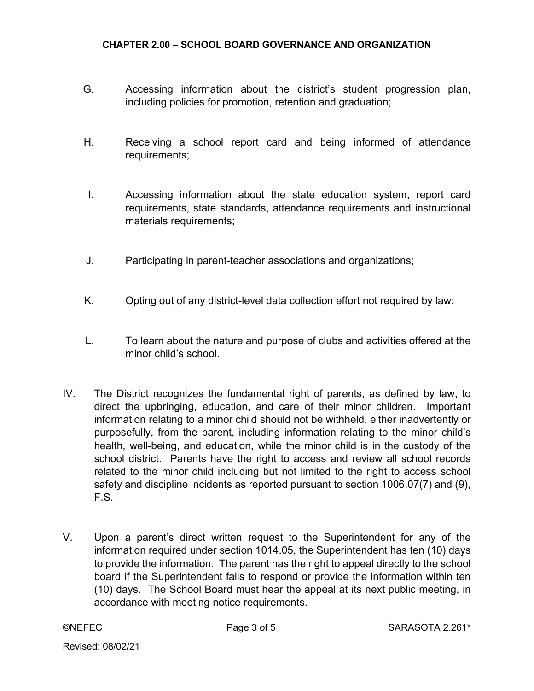- G. Accessing information about the district's student progression plan, including policies for promotion, retention and graduation;
- H. Receiving a school report card and being informed of attendance requirements;
- I. Accessing information about the state education system, report card requirements, state standards, attendance requirements and instructional materials requirements;
- J. Participating in parent-teacher associations and organizations;
- K. Opting out of any district-level data collection effort not required by law;
- L. To learn about the nature and purpose of clubs and activities offered at the minor child's school.
- IV. The District recognizes the fundamental right of parents, as defined by law, to direct the upbringing, education, and care of their minor children. Important information relating to a minor child should not be withheld, either inadvertently or purposefully, from the parent, including information relating to the minor child's health, well-being, and education, while the minor child is in the custody of the school district. Parents have the right to access and review all school records related to the minor child including but not limited to the right to access school safety and discipline incidents as reported pursuant to section 1006.07(7) and (9), F.S.
- V. Upon a parent's direct written request to the Superintendent for any of the information required under section 1014.05, the Superintendent has ten (10) days to provide the information. The parent has the right to appeal directly to the school board if the Superintendent fails to respond or provide the information within ten (10) days. The School Board must hear the appeal at its next public meeting, in accordance with meeting notice requirements.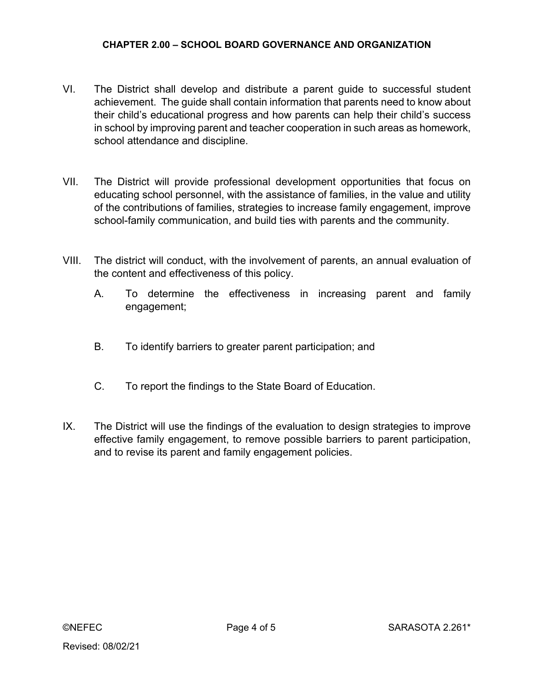- VI. The District shall develop and distribute a parent guide to successful student achievement. The guide shall contain information that parents need to know about their child's educational progress and how parents can help their child's success in school by improving parent and teacher cooperation in such areas as homework, school attendance and discipline.
- VII. The District will provide professional development opportunities that focus on educating school personnel, with the assistance of families, in the value and utility of the contributions of families, strategies to increase family engagement, improve school-family communication, and build ties with parents and the community.
- VIII. The district will conduct, with the involvement of parents, an annual evaluation of the content and effectiveness of this policy.
	- A. To determine the effectiveness in increasing parent and family engagement;
	- B. To identify barriers to greater parent participation; and
	- C. To report the findings to the State Board of Education.
- IX. The District will use the findings of the evaluation to design strategies to improve effective family engagement, to remove possible barriers to parent participation, and to revise its parent and family engagement policies.